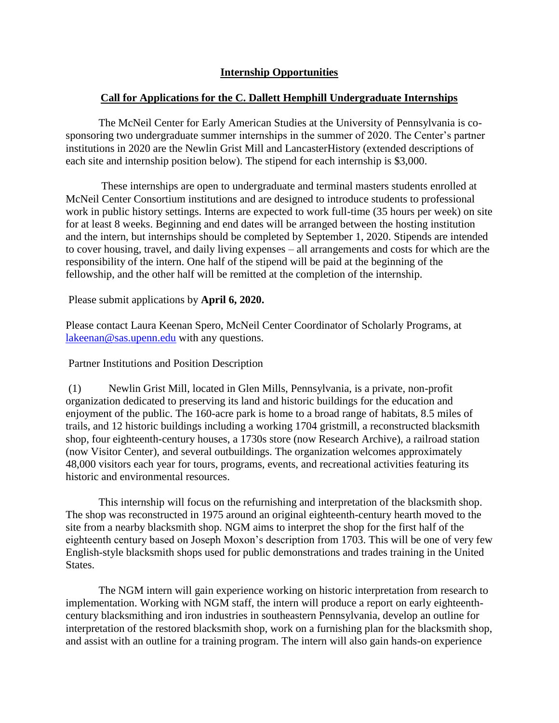## **Internship Opportunities**

## **Call for Applications for the C. Dallett Hemphill Undergraduate Internships**

The McNeil Center for Early American Studies at the University of Pennsylvania is cosponsoring two undergraduate summer internships in the summer of 2020. The Center's partner institutions in 2020 are the Newlin Grist Mill and LancasterHistory (extended descriptions of each site and internship position below). The stipend for each internship is \$3,000.

These internships are open to undergraduate and terminal masters students enrolled at McNeil Center Consortium institutions and are designed to introduce students to professional work in public history settings. Interns are expected to work full-time (35 hours per week) on site for at least 8 weeks. Beginning and end dates will be arranged between the hosting institution and the intern, but internships should be completed by September 1, 2020. Stipends are intended to cover housing, travel, and daily living expenses – all arrangements and costs for which are the responsibility of the intern. One half of the stipend will be paid at the beginning of the fellowship, and the other half will be remitted at the completion of the internship.

Please submit applications by **April 6, 2020.**

Please contact Laura Keenan Spero, McNeil Center Coordinator of Scholarly Programs, at [lakeenan@sas.upenn.edu](mailto:lakeenan@sas.upenn.edu) with any questions.

Partner Institutions and Position Description

(1) Newlin Grist Mill, located in Glen Mills, Pennsylvania, is a private, non-profit organization dedicated to preserving its land and historic buildings for the education and enjoyment of the public. The 160-acre park is home to a broad range of habitats, 8.5 miles of trails, and 12 historic buildings including a working 1704 gristmill, a reconstructed blacksmith shop, four eighteenth-century houses, a 1730s store (now Research Archive), a railroad station (now Visitor Center), and several outbuildings. The organization welcomes approximately 48,000 visitors each year for tours, programs, events, and recreational activities featuring its historic and environmental resources.

This internship will focus on the refurnishing and interpretation of the blacksmith shop. The shop was reconstructed in 1975 around an original eighteenth-century hearth moved to the site from a nearby blacksmith shop. NGM aims to interpret the shop for the first half of the eighteenth century based on Joseph Moxon's description from 1703. This will be one of very few English-style blacksmith shops used for public demonstrations and trades training in the United States.

The NGM intern will gain experience working on historic interpretation from research to implementation. Working with NGM staff, the intern will produce a report on early eighteenthcentury blacksmithing and iron industries in southeastern Pennsylvania, develop an outline for interpretation of the restored blacksmith shop, work on a furnishing plan for the blacksmith shop, and assist with an outline for a training program. The intern will also gain hands-on experience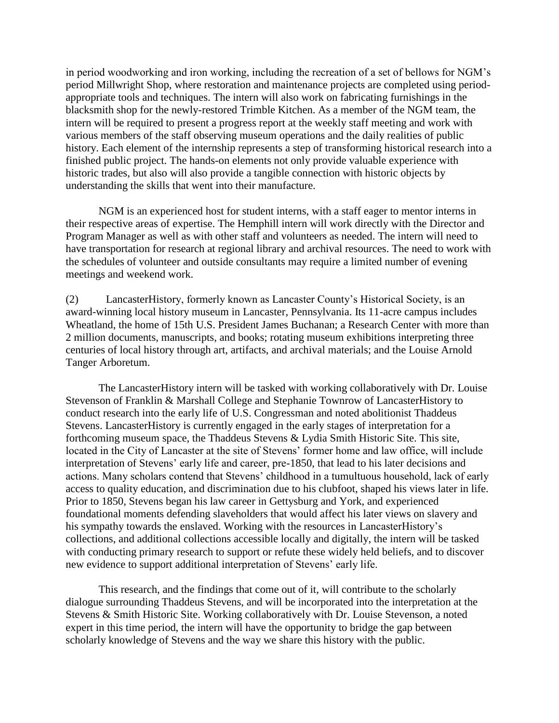in period woodworking and iron working, including the recreation of a set of bellows for NGM's period Millwright Shop, where restoration and maintenance projects are completed using periodappropriate tools and techniques. The intern will also work on fabricating furnishings in the blacksmith shop for the newly-restored Trimble Kitchen. As a member of the NGM team, the intern will be required to present a progress report at the weekly staff meeting and work with various members of the staff observing museum operations and the daily realities of public history. Each element of the internship represents a step of transforming historical research into a finished public project. The hands-on elements not only provide valuable experience with historic trades, but also will also provide a tangible connection with historic objects by understanding the skills that went into their manufacture.

NGM is an experienced host for student interns, with a staff eager to mentor interns in their respective areas of expertise. The Hemphill intern will work directly with the Director and Program Manager as well as with other staff and volunteers as needed. The intern will need to have transportation for research at regional library and archival resources. The need to work with the schedules of volunteer and outside consultants may require a limited number of evening meetings and weekend work.

(2) LancasterHistory, formerly known as Lancaster County's Historical Society, is an award-winning local history museum in Lancaster, Pennsylvania. Its 11-acre campus includes Wheatland, the home of 15th U.S. President James Buchanan; a Research Center with more than 2 million documents, manuscripts, and books; rotating museum exhibitions interpreting three centuries of local history through art, artifacts, and archival materials; and the Louise Arnold Tanger Arboretum.

The LancasterHistory intern will be tasked with working collaboratively with Dr. Louise Stevenson of Franklin & Marshall College and Stephanie Townrow of LancasterHistory to conduct research into the early life of U.S. Congressman and noted abolitionist Thaddeus Stevens. LancasterHistory is currently engaged in the early stages of interpretation for a forthcoming museum space, the Thaddeus Stevens & Lydia Smith Historic Site. This site, located in the City of Lancaster at the site of Stevens' former home and law office, will include interpretation of Stevens' early life and career, pre-1850, that lead to his later decisions and actions. Many scholars contend that Stevens' childhood in a tumultuous household, lack of early access to quality education, and discrimination due to his clubfoot, shaped his views later in life. Prior to 1850, Stevens began his law career in Gettysburg and York, and experienced foundational moments defending slaveholders that would affect his later views on slavery and his sympathy towards the enslaved. Working with the resources in LancasterHistory's collections, and additional collections accessible locally and digitally, the intern will be tasked with conducting primary research to support or refute these widely held beliefs, and to discover new evidence to support additional interpretation of Stevens' early life.

This research, and the findings that come out of it, will contribute to the scholarly dialogue surrounding Thaddeus Stevens, and will be incorporated into the interpretation at the Stevens & Smith Historic Site. Working collaboratively with Dr. Louise Stevenson, a noted expert in this time period, the intern will have the opportunity to bridge the gap between scholarly knowledge of Stevens and the way we share this history with the public.